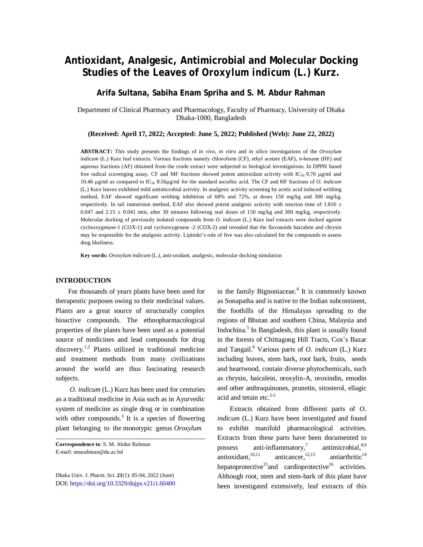# **Antioxidant, Analgesic, Antimicrobial and Molecular Docking Studies of the Leaves of** *Oroxylum indicum* **(L.) Kurz.**

## **Arifa Sultana, Sabiha Enam Spriha and S. M. Abdur Rahman**

Department of Clinical Pharmacy and Pharmacology, Faculty of Pharmacy, University of Dhaka Dhaka-1000, Bangladesh

**(Received: April 17, 2022; Accepted: June 5, 2022; Published (Web): June 22, 2022)**

**ABSTRACT:** This study presents the findings of *in vivo*, *in vitro* and *in silico* investigations of the *Oroxylum indicum* (L.) Kurz leaf extracts. Various fractions namely chloroform (CF), ethyl acetate (EAF), *n-*hexane (HF) and aqueous fractions (AF) obtained from the crude extract were subjected to biological investigations. In DPPH based free radical scavenging assay, CF and MF fractions showed potent antioxidant activity with IC<sub>50</sub> 9.70  $\mu$ g/ml and 10.46 g/ml as compared to IC<sup>50</sup> 8.56g/ml for the standard ascorbic acid. The CF and HF fractions of *O. indicum* (L.) Kurz leaves exhibited mild antimicrobial activity. In analgesic activity screening by acetic acid induced writhing method, EAF showed significant writhing inhibition of 68% and 72%, at doses 150 mg/kg and 300 mg/kg, respectively. In tail immersion method, EAF also showed potent analgesic activity with reaction time of 1.816  $\pm$ 0.047 and 2.15  $\pm$  0.041 min, after 30 minutes following oral doses of 150 mg/kg and 300 mg/kg, respectively. Molecular docking of previously isolated compounds from *O. indicum* (L.) Kurz leaf extracts were docked against cyclooxygenase-1 (COX-1) and cyclooxygenase -2 (COX-2) and revealed that the flavonoids baicalein and chrysin may be responsible for the analgesic activity. Lipinski's rule of five was also calculated for the compounds to assess drug likeliness.

**Key words:** *Oroxylum indicum* (L.), anti-oxidant, analgesic, molecular docking simulation

### **INTRODUCTION**

For thousands of years plants have been used for therapeutic purposes owing to their medicinal values. Plants are a great source of structurally complex bioactive compounds. The ethnopharmacological properties of the plants have been used as a potential source of medicines and lead compounds for drug discovery.<sup>1,2</sup> Plants utilized in traditional medicine and treatment methods from many civilizations around the world are thus fascinating research subjects.

*O. indicum* (L.) Kurz has been used for centuries as a traditional medicine in Asia such as in Ayurvedic system of medicine as single drug or in combination with other compounds.<sup>3</sup> It is a species of flowering plant belonging to the monotypic genus *Oroxylum*

Dhaka Univ. J. Pharm. Sci. **21**(1): 85-94, 2022 (June) DOI:<https://doi.org/10.3329/dujps.v21i1.60400>

in the family Bignoniaceae.<sup>4</sup> It is commonly known as Sonapatha and is native to the Indian subcontinent, the foothills of the Himalayas spreading to the regions of Bhutan and southern China, Malaysia and Indochina. 5 In Bangladesh, this plant is usually found in the forests of Chittagong Hill Tracts, Cox`s Bazar and Tangail.<sup>6</sup> Various parts of *O. indicum* (L.) Kurz including leaves, stem bark, root bark, fruits, seeds and heartwood, contain diverse phytochemicals, such as chrysin, baicalein, oroxylin-A, oroxindin, emodin and other anthraquinones, prunetin, sitosterol, ellagic acid and tetuin etc. $3-5$ 

Extracts obtained from different parts of *O. indicum* (L.) Kurz have been investigated and found to exhibit manifold pharmacological activities. Extracts from these parts have been documented to possess anti-inflammatory,<sup>7</sup> antimicrobial, 8,9 antioxidant, 10,11 anticancer, $12,13$ antiarthritic $14$ hepatoprotective<sup>15</sup> and cardioprotective<sup>16</sup> activities. Although root, stem and stem-bark of this plant have been investigated extensively, leaf extracts of this

**Correspondence to**: S. M. Abdur Rahman E-mail: [smarahman@du.ac.bd](mailto:smarahman@du.ac.bd)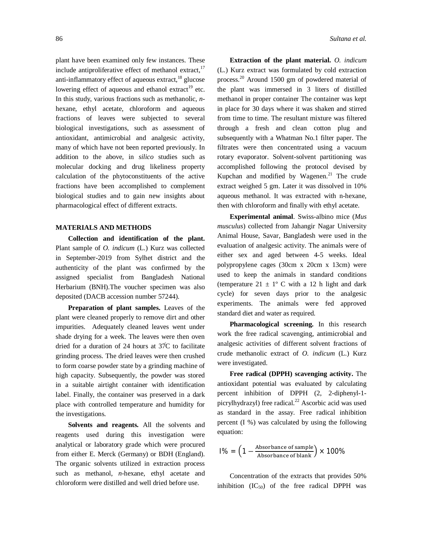plant have been examined only few instances. These include antiproliferative effect of methanol extract, $17$ anti-inflammatory effect of aqueous extract, $^{18}$  glucose lowering effect of aqueous and ethanol extract<sup>19</sup> etc. In this study, various fractions such as methanolic, *n*hexane, ethyl acetate, chloroform and aqueous fractions of leaves were subjected to several biological investigations, such as assessment of antioxidant, antimicrobial and analgesic activity, many of which have not been reported previously. In addition to the above, in *silico* studies such as molecular docking and drug likeliness property calculation of the phytoconstituents of the active fractions have been accomplished to complement biological studies and to gain new insights about pharmacological effect of different extracts.

#### **MATERIALS AND METHODS**

**Collection and identification of the plant.**  Plant sample of *O. indicum* (L.) Kurz was collected in September-2019 from Sylhet district and the authenticity of the plant was confirmed by the assigned specialist from Bangladesh National Herbarium (BNH).The voucher specimen was also deposited (DACB accession number 57244).

**Preparation of plant samples.** Leaves of the plant were cleaned properly to remove dirt and other impurities. Adequately cleaned leaves went under shade drying for a week. The leaves were then oven dried for a duration of 24 hours at 37̊C to facilitate grinding process. The dried leaves were then crushed to form coarse powder state by a grinding machine of high capacity. Subsequently, the powder was stored in a suitable airtight container with identification label. Finally, the container was preserved in a dark place with controlled temperature and humidity for the investigations.

**Solvents and reagents.** All the solvents and reagents used during this investigation were analytical or laboratory grade which were procured from either E. Merck (Germany) or BDH (England). The organic solvents utilized in extraction process such as methanol, *n*-hexane, ethyl acetate and chloroform were distilled and well dried before use.

**Extraction of the plant material.** *O. indicum*  (L.) Kurz extract was formulated by cold extraction process.<sup>20</sup> Around 1500 gm of powdered material of the plant was immersed in 3 liters of distilled methanol in proper container The container was kept in place for 30 days where it was shaken and stirred from time to time. The resultant mixture was filtered through a fresh and clean cotton plug and subsequently with a Whatman No.1 filter paper. The filtrates were then concentrated using a vacuum rotary evaporator. Solvent-solvent partitioning was accomplished following the protocol devised by Kupchan and modified by Wagenen.<sup>21</sup> The crude extract weighed 5 gm. Later it was dissolved in 10% aqueous methanol. It was extracted with n-hexane, then with chloroform and finally with ethyl acetate.

**Experimental animal**. Swiss-albino mice (*Mus musculus*) collected from Jahangir Nagar University Animal House, Savar, Bangladesh were used in the evaluation of analgesic activity. The animals were of either sex and aged between 4-5 weeks. Ideal polypropylene cages (30cm x 20cm x 13cm) were used to keep the animals in standard conditions (temperature  $21 \pm 1^{\circ}$  C with a 12 h light and dark cycle) for seven days prior to the analgesic experiments. The animals were fed approved standard diet and water as required.

**Pharmacological screening.** In this research work the free radical scavenging, antimicrobial and analgesic activities of different solvent fractions of crude methanolic extract of *O. indicum* (L.) Kurz were investigated.

**Free radical (DPPH) scavenging activity.** The antioxidant potential was evaluated by calculating percent inhibition of DPPH (2, 2-diphenyl-1 picrylhydrazyl) free radical. <sup>22</sup> Ascorbic acid was used as standard in the assay. Free radical inhibition percent (I %) was calculated by using the following equation:

$$
1\% = \left(1 - \frac{\text{Absorbane of sample}}{\text{Absorbane of blank}}\right) \times 100\%
$$

Concentration of the extracts that provides 50% inhibition  $(IC_{50})$  of the free radical DPPH was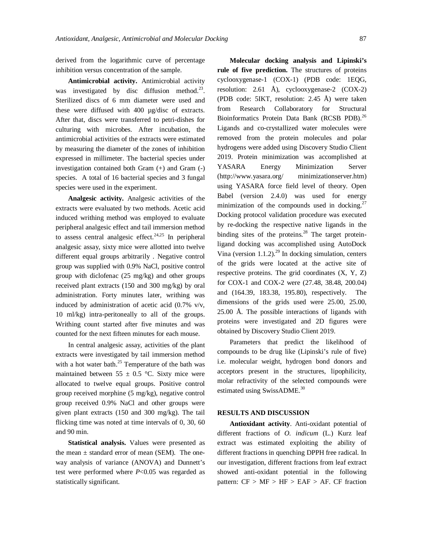derived from the logarithmic curve of percentage inhibition versus concentration of the sample.

**Antimicrobial activity.** Antimicrobial activity was investigated by disc diffusion method.<sup>23</sup>. Sterilized discs of 6 mm diameter were used and these were diffused with 400 µg/disc of extracts. After that, discs were transferred to petri-dishes for culturing with microbes. After incubation, the antimicrobial activities of the extracts were estimated by measuring the diameter of the zones of inhibition expressed in millimeter. The bacterial species under investigation contained both Gram (+) and Gram (-) species. A total of 16 bacterial species and 3 fungal species were used in the experiment.

**Analgesic activity.** Analgesic activities of the extracts were evaluated by two methods. Acetic acid induced writhing method was employed to evaluate peripheral analgesic effect and tail immersion method to assess central analgesic effect.<sup>24,25</sup> In peripheral analgesic assay, sixty mice were allotted into twelve different equal groups arbitrarily . Negative control group was supplied with 0.9% NaCl, positive control group with diclofenac (25 mg/kg) and other groups received plant extracts (150 and 300 mg/kg) by oral administration. Forty minutes later, writhing was induced by administration of acetic acid (0.7% v/v, 10 ml/kg) intra-peritoneally to all of the groups. Writhing count started after five minutes and was counted for the next fifteen minutes for each mouse.

In central analgesic assay, activities of the plant extracts were investigated by tail immersion method with a hot water bath. $25$  Temperature of the bath was maintained between  $55 \pm 0.5$  °C. Sixty mice were allocated to twelve equal groups. Positive control group received morphine (5 mg/kg), negative control group received 0.9% NaCl and other groups were given plant extracts (150 and 300 mg/kg). The tail flicking time was noted at time intervals of 0, 30, 60 and 90 min.

**Statistical analysis.** Values were presented as the mean  $\pm$  standard error of mean (SEM). The oneway analysis of variance (ANOVA) and Dunnett's test were performed where *P*<0.05 was regarded as statistically significant.

**Molecular docking analysis and Lipinski's rule of five prediction.** The structures of proteins cyclooxygenase-1 (COX-1) (PDB code: 1EQG, resolution: 2.61 Å), cyclooxygenase-2 (COX-2) (PDB code: 5IKT, resolution: 2.45 Å) were taken from Research Collaboratory for Structural Bioinformatics Protein Data Bank (RCSB PDB).<sup>26</sup> Ligands and co-crystallized water molecules were removed from the protein molecules and polar hydrogens were added using Discovery Studio Client 2019. Protein minimization was accomplished at YASARA Energy Minimization Server (<http://www.yasara.org/> minimizationserver.htm) using YASARA force field level of theory. Open Babel (version 2.4.0) was used for energy minimization of the compounds used in docking. $27$ Docking protocol validation procedure was executed by re-docking the respective native ligands in the binding sites of the proteins. $28$  The target proteinligand docking was accomplished using AutoDock Vina (version 1.1.2). <sup>29</sup> In docking simulation, centers of the grids were located at the active site of respective proteins. The grid coordinates (X, Y, Z) for COX-1 and COX-2 were (27.48, 38.48, 200.04) and (164.39, 183.38, 195.80), respectively. The dimensions of the grids used were 25.00, 25.00, 25.00 Å. The possible interactions of ligands with proteins were investigated and 2D figures were obtained by Discovery Studio Client 2019.

Parameters that predict the likelihood of compounds to be drug like (Lipinski's rule of five) i.e. molecular weight, hydrogen bond donors and acceptors present in the structures, lipophilicity, molar refractivity of the selected compounds were estimated using SwissADME.<sup>30</sup>

#### **RESULTS AND DISCUSSION**

**Antioxidant activity**. Anti-oxidant potential of different fractions of *O. indicum* (L.) Kurz leaf extract was estimated exploiting the ability of different fractions in quenching DPPH free radical. In our investigation, different fractions from leaf extract showed anti-oxidant potential in the following pattern:  $CF > MF > HF > EAF > AF$ . CF fraction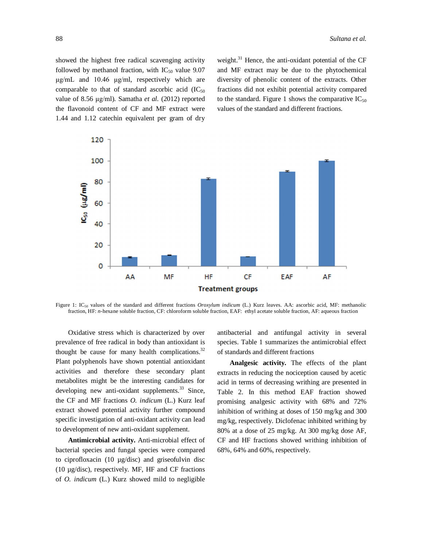showed the highest free radical scavenging activity followed by methanol fraction, with  $IC_{50}$  value 9.07 μg/mL and 10.46 μg/ml, respectively which are comparable to that of standard ascorbic acid  $(IC_{50})$ value of 8.56 μg/ml). Samatha *et al.* (2012) reported the flavonoid content of CF and MF extract were 1.44 and 1.12 catechin equivalent per gram of dry weight. $31$  Hence, the anti-oxidant potential of the CF and MF extract may be due to the phytochemical diversity of phenolic content of the extracts. Other fractions did not exhibit potential activity compared to the standard. Figure 1 shows the comparative  $IC_{50}$ values of the standard and different fractions.



Figure 1: IC<sup>50</sup> values of the standard and different fractions *Oroxylum indicum* (L.) Kurz leaves. AA: ascorbic acid, MF: methanolic fraction, HF: *n-*hexane soluble fraction, CF: chloroform soluble fraction, EAF: ethyl acetate soluble fraction, AF: aqueous fraction

Oxidative stress which is characterized by over prevalence of free radical in body than antioxidant is thought be cause for many health complications. $32$ Plant polyphenols have shown potential antioxidant activities and therefore these secondary plant metabolites might be the interesting candidates for developing new anti-oxidant supplements. $33$  Since, the CF and MF fractions *O. indicum* (L.) Kurz leaf extract showed potential activity further compound specific investigation of anti-oxidant activity can lead to development of new anti-oxidant supplement.

**Antimicrobial activity.** Anti-microbial effect of bacterial species and fungal species were compared to ciprofloxacin (10 µg/disc) and griseofulvin disc (10 µg/disc), respectively. MF, HF and CF fractions of *O. indicum* (L.) Kurz showed mild to negligible antibacterial and antifungal activity in several species. Table 1 summarizes the antimicrobial effect of standards and different fractions

**Analgesic activity.** The effects of the plant extracts in reducing the nociception caused by acetic acid in terms of decreasing writhing are presented in Table 2. In this method EAF fraction showed promising analgesic activity with 68% and 72% inhibition of writhing at doses of 150 mg/kg and 300 mg/kg, respectively. Diclofenac inhibited writhing by 80% at a dose of 25 mg/kg. At 300 mg/kg dose AF, CF and HF fractions showed writhing inhibition of 68%, 64% and 60%, respectively.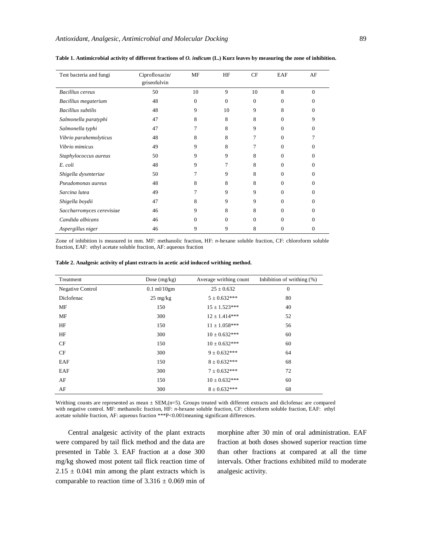| Test bacteria and fungi   | Ciprofloxacin/<br>griseofulvin | MF       | HF       | CF       | EAF      | AF       |
|---------------------------|--------------------------------|----------|----------|----------|----------|----------|
| <b>Bacillius</b> cereus   | 50                             | 10       | 9        | 10       | 8        | $\Omega$ |
| Bacillius megaterium      | 48                             | $\theta$ | $\Omega$ | $\Omega$ | $\Omega$ | 0        |
| <b>Bacillius</b> subtilis | 48                             | 9        | 10       | 9        | 8        | 0        |
| Salmonella paratyphi      | 47                             | 8        | 8        | 8        | $\Omega$ | 9        |
| Salmonella typhi          | 47                             | 7        | 8        | 9        | $\Omega$ | 0        |
| Vibrio parahemolyticus    | 48                             | 8        | 8        | 7        | $\Omega$ |          |
| Vibrio mimicus            | 49                             | 9        | 8        | 7        | $\Omega$ | 0        |
| Staphylococcus aureus     | 50                             | 9        | 9        | 8        | $\Omega$ | 0        |
| E. coli                   | 48                             | 9        | 7        | 8        | $\Omega$ | 0        |
| Shigella dysenteriae      | 50                             | 7        | 9        | 8        | $\Omega$ | 0        |
| Pseudomonas aureus        | 48                             | 8        | 8        | 8        | $\Omega$ | 0        |
| Sarcina lutea             | 49                             | 7        | 9        | 9        | $\Omega$ | 0        |
| Shigella boydii           | 47                             | 8        | 9        | 9        | $\Omega$ | 0        |
| Saccharromyces cerevisiae | 46                             | 9        | 8        | 8        | $\Omega$ | 0        |
| Candida albicans          | 46                             | $\Omega$ | $\Omega$ | $\Omega$ | $\Omega$ | 0        |
| Aspergillus niger         | 46                             | 9        | 9        | 8        | 0        | 0        |

#### **Table 1. Antimicrobial activity of different fractions of** *O. indicum* **(L.) Kurz leaves by measuring the zone of inhibition.**

Zone of inhibition is measured in mm. MF: methanolic fraction, HF: *n-*hexane soluble fraction, CF: chloroform soluble fraction, EAF: ethyl acetate soluble fraction, AF: aqueous fraction

| Table 2. Analgesic activity of plant extracts in acetic acid induced writhing method. |  |  |
|---------------------------------------------------------------------------------------|--|--|
|---------------------------------------------------------------------------------------|--|--|

| Treatment        | Dose $(mg/kg)$     | Average writhing count | Inhibition of writhing $(\%)$ |
|------------------|--------------------|------------------------|-------------------------------|
| Negative Control | $0.1$ ml/ $10$ gm  | $25 \pm 0.632$         | $\mathbf{0}$                  |
| Diclofenac       | $25 \text{ mg/kg}$ | $5 \pm 0.632***$       | 80                            |
| МF               | 150                | $15 \pm 1.523***$      | 40                            |
| МF               | 300                | $12 \pm 1.414***$      | 52                            |
| HF               | 150                | $11 \pm 1.058***$      | 56                            |
| HF               | 300                | $10 \pm 0.632***$      | 60                            |
| CF               | 150                | $10 \pm 0.632***$      | 60                            |
| CF               | 300                | $9 \pm 0.632***$       | 64                            |
| EAF              | 150                | $8 \pm 0.632***$       | 68                            |
| EAF              | 300                | $7 \pm 0.632***$       | 72                            |
| AF               | 150                | $10 \pm 0.632***$      | 60                            |
| AF               | 300                | $8 \pm 0.632***$       | 68                            |

Writhing counts are represented as mean  $\pm$  SEM,(n=5). Groups treated with different extracts and diclofenac are compared with negative control. MF: methanolic fraction, HF: *n-*hexane soluble fraction, CF: chloroform soluble fraction, EAF: ethyl acetate soluble fraction, AF: aqueous fraction \*\*\*P<0.001meaning significant differences.

Central analgesic activity of the plant extracts were compared by tail flick method and the data are presented in Table 3. EAF fraction at a dose 300 mg/kg showed most potent tail flick reaction time of  $2.15 \pm 0.041$  min among the plant extracts which is comparable to reaction time of  $3.316 \pm 0.069$  min of morphine after 30 min of oral administration. EAF fraction at both doses showed superior reaction time than other fractions at compared at all the time intervals. Other fractions exhibited mild to moderate analgesic activity.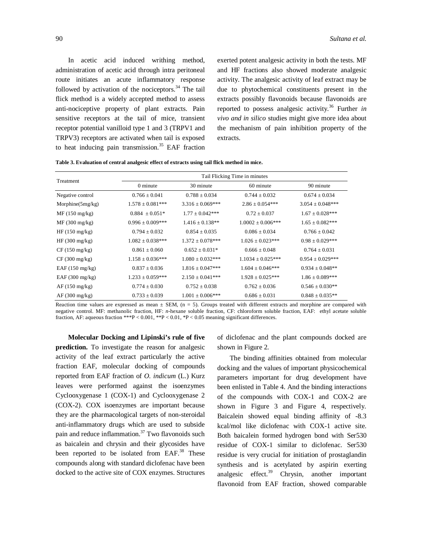In acetic acid induced writhing method, administration of acetic acid through intra peritoneal route initiates an acute inflammatory response followed by activation of the nociceptors. $34$  The tail flick method is a widely accepted method to assess anti-nociceptive property of plant extracts. Pain sensitive receptors at the tail of mice, transient receptor potential vanilloid type 1 and 3 (TRPV1 and TRPV3) receptors are activated when tail is exposed to heat inducing pain transmission. $35$  EAF fraction exerted potent analgesic activity in both the tests. MF and HF fractions also showed moderate analgesic activity. The analgesic activity of leaf extract may be due to phytochemical constituents present in the extracts possibly flavonoids because flavonoids are reported to possess analgesic activity.<sup>36</sup> Further *in vivo and in silico* studies might give more idea about the mechanism of pain inhibition property of the extracts.

| Treatment               | Tail Flicking Time in minutes |                       |                        |                       |  |  |  |
|-------------------------|-------------------------------|-----------------------|------------------------|-----------------------|--|--|--|
|                         | 0 minute                      | 30 minute             | 60 minute              | 90 minute             |  |  |  |
| Negative control        | $0.766 \pm 0.041$             | $0.788 \pm 0.034$     | $0.744 \pm 0.032$      | $0.674 \pm 0.034$     |  |  |  |
| Morphine $(5mg/kg)$     | $1.578 \pm 0.081$ ***         | $3.316 \pm 0.069$ *** | $2.86 \pm 0.054***$    | $3.054 \pm 0.048***$  |  |  |  |
| $MF(150 \text{ mg/kg})$ | $0.884 \pm 0.051*$            | $1.77 \pm 0.042$ ***  | $0.72 + 0.037$         | $1.67 \pm 0.028***$   |  |  |  |
| $MF(300 \text{ mg/kg})$ | $0.996 \pm 0.009$ ***         | $1.416 \pm 0.138$ **  | $1.0002 \pm 0.006$ *** | $1.65 \pm 0.082***$   |  |  |  |
| $HF(150 \text{ mg/kg})$ | $0.794 \pm 0.032$             | $0.854 \pm 0.035$     | $0.086 \pm 0.034$      | $0.766 \pm 0.042$     |  |  |  |
| HF(300 mg/kg)           | $1.082 \pm 0.038***$          | $1.372 \pm 0.078***$  | $1.026 \pm 0.023***$   | $0.98 \pm 0.029***$   |  |  |  |
| $CF(150 \text{ mg/kg})$ | $0.861 \pm 0.060$             | $0.652 \pm 0.031*$    | $0.666 \pm 0.048$      | $0.764 \pm 0.031$     |  |  |  |
| $CF(300 \text{ mg/kg})$ | $1.158 \pm 0.036***$          | $1.080 \pm 0.032$ *** | $1.1034 \pm 0.025***$  | $0.954 \pm 0.029$ *** |  |  |  |
| EAF(150 mg/kg)          | $0.837 \pm 0.036$             | $1.816 \pm 0.047$ *** | $1.604 \pm 0.046$ ***  | $0.934 \pm 0.048**$   |  |  |  |
| EAF(300 mg/kg)          | $1.233 \pm 0.059$ ***         | $2.150 + 0.041***$    | $1.928 \pm 0.025***$   | $1.86 \pm 0.089***$   |  |  |  |
| $AF(150 \text{ mg/kg})$ | $0.774 \pm 0.030$             | $0.752 \pm 0.038$     | $0.762 \pm 0.036$      | $0.546 \pm 0.030**$   |  |  |  |
| AF(300 mg/kg)           | $0.733 \pm 0.039$             | $1.001 \pm 0.006$ *** | $0.686 \pm 0.031$      | $0.848 \pm 0.035***$  |  |  |  |

Reaction time values are expressed as mean  $\pm$  SEM, (n = 5). Groups treated with different extracts and morphine are compared with negative control. MF: methanolic fraction, HF: *n-*hexane soluble fraction, CF: chloroform soluble fraction, EAF: ethyl acetate soluble fraction, AF: aqueous fraction \*\*\*P < 0.001, \*\*P < 0.01, \*P < 0.05 meaning significant differences.

**Molecular Docking and Lipinski's rule of five prediction.** To investigate the reason for analgesic activity of the leaf extract particularly the active fraction EAF, molecular docking of compounds reported from EAF fraction of *O. indicum* (L.) Kurz leaves were performed against the isoenzymes Cyclooxygenase 1 (COX-1) and Cyclooxygenase 2 (COX-2). COX isoenzymes are important because they are the pharmacological targets of non-steroidal anti-inflammatory drugs which are used to subside pain and reduce inflammation.<sup>37</sup> Two flavonoids such as baicalein and chrysin and their glycosides have been reported to be isolated from EAF.<sup>38</sup> These compounds along with standard diclofenac have been docked to the active site of COX enzymes. Structures of diclofenac and the plant compounds docked are shown in Figure 2.

The binding affinities obtained from molecular docking and the values of important physicochemical parameters important for drug development have been enlisted in Table 4. And the binding interactions of the compounds with COX-1 and COX-2 are shown in Figure 3 and Figure 4, respectively. Baicalein showed equal binding affinity of -8.3 kcal/mol like diclofenac with COX-1 active site. Both baicalein formed hydrogen bond with Ser530 residue of COX-1 similar to diclofenac. Ser530 residue is very crucial for initiation of prostaglandin synthesis and is acetylated by aspirin exerting analgesic effect.<sup>39</sup> Chrysin, another important flavonoid from EAF fraction, showed comparable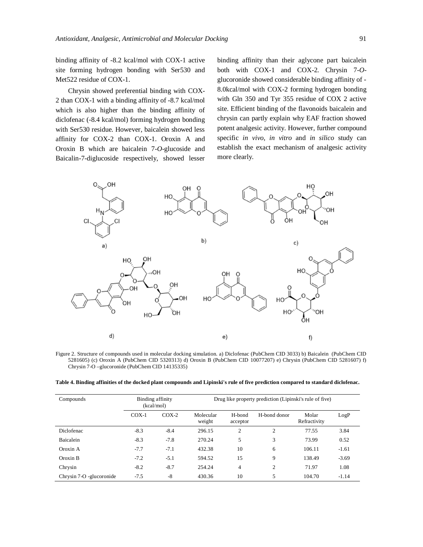binding affinity of -8.2 kcal/mol with COX-1 active site forming hydrogen bonding with Ser530 and Met522 residue of COX-1.

Chrysin showed preferential binding with COX-2 than COX-1 with a binding affinity of -8.7 kcal/mol which is also higher than the binding affinity of diclofenac (-8.4 kcal/mol) forming hydrogen bonding with Ser530 residue. However, baicalein showed less affinity for COX-2 than COX-1. Oroxin A and Oroxin B which are baicalein 7-*O*-glucoside and Baicalin-7-diglucoside respectively, showed lesser binding affinity than their aglycone part baicalein both with COX-1 and COX-2. Chrysin 7-*O*glucoronide showed considerable binding affinity of - 8.0kcal/mol with COX-2 forming hydrogen bonding with Gln 350 and Tyr 355 residue of COX 2 active site. Efficient binding of the flavonoids baicalein and chrysin can partly explain why EAF fraction showed potent analgesic activity. However, further compound specific *in vivo*, *in vitro* and *in silico* study can establish the exact mechanism of analgesic activity more clearly.



Figure 2. Structure of compounds used in molecular docking simulation. a) Diclofenac (PubChem CID 3033) b) Baicalein (PubChem CID 5281605) (c) Oroxin A (PubChem CID 5320313) d) Oroxin B (PubChem CID 10077207) e) Chrysin (PubChem CID 5281607) f) Chrysin 7-O –glucoronide (PubChem CID 14135335)

|  |  |  | Table 4. Binding affinities of the docked plant compounds and Lipinski's rule of five prediction compared to standard diclofenac. |
|--|--|--|-----------------------------------------------------------------------------------------------------------------------------------|
|  |  |  |                                                                                                                                   |

| Compounds                | Binding affinity<br>(kcal/mol) |         | Drug like property prediction (Lipinski's rule of five) |                    |              |                       |         |
|--------------------------|--------------------------------|---------|---------------------------------------------------------|--------------------|--------------|-----------------------|---------|
|                          | $COX-1$                        | $COX-2$ | Molecular<br>weight                                     | H-bond<br>acceptor | H-bond donor | Molar<br>Refractivity | LogP    |
| Diclofenac               | $-8.3$                         | $-8.4$  | 296.15                                                  | 2                  | 2            | 77.55                 | 3.84    |
| <b>Baicalein</b>         | $-8.3$                         | $-7.8$  | 270.24                                                  | 5                  | 3            | 73.99                 | 0.52    |
| Oroxin A                 | $-7.7$                         | $-7.1$  | 432.38                                                  | 10                 | 6            | 106.11                | $-1.61$ |
| Oroxin B                 | $-7.2$                         | $-5.1$  | 594.52                                                  | 15                 | 9            | 138.49                | $-3.69$ |
| Chrysin                  | $-8.2$                         | $-8.7$  | 254.24                                                  | 4                  | 2            | 71.97                 | 1.08    |
| Chrysin 7-O -glucoronide | $-7.5$                         | $-8$    | 430.36                                                  | 10                 | 5            | 104.70                | $-1.14$ |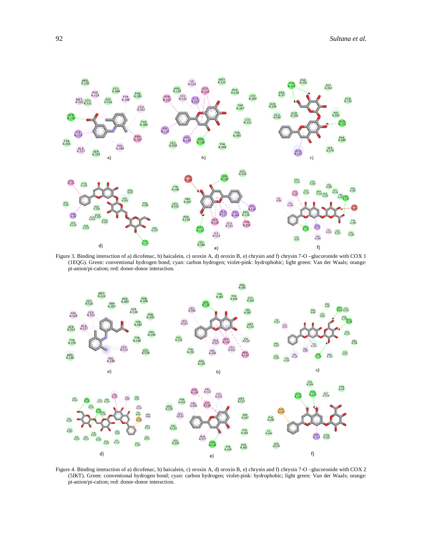

Figure 3. Binding interaction of a) dicofenac, b) baicalein, c) oroxin A, d) oroxin B, e) chrysin and f) chrysin 7-O –glucoronide with COX 1 (1EQG). Green: conventional hydrogen bond; cyan: carbon hydrogen; violet-pink: hydrophobic; light green: Van der Waals; orange: pi-anion/pi-cation; red: donor-donor interaction.



Figure 4. Binding interaction of a) dicofenac, b) baicalein, c) oroxin A, d) oroxin B, e) chrysin and f) chrysin 7-O –glucoronide with COX 2 (5IKT). Green: conventional hydrogen bond; cyan: carbon hydrogen; violet-pink: hydrophobic; light green: Van der Waals; orange: pi-anion/pi-cation; red: donor-donor interaction.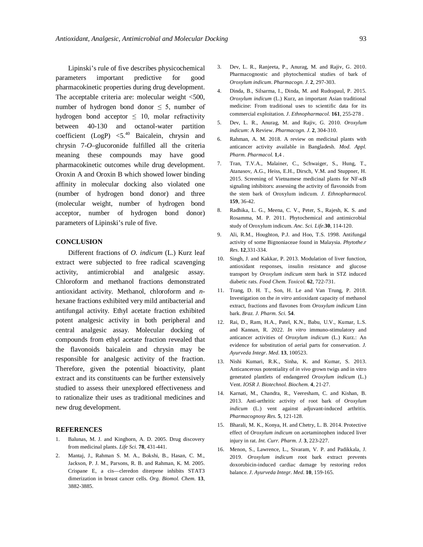Lipinski's rule of five describes physicochemical parameters important predictive for good pharmacokinetic properties during drug development. The acceptable criteria are: molecular weight <500, number of hydrogen bond donor  $\leq$  5, number of hydrogen bond acceptor  $\leq 10$ , molar refractivity between 40-130 and octanol-water partition coefficient (LogP)  $\leq 5^{40}$  Baicalein, chrysin and chrysin 7-*O*–glucoronide fulfilled all the criteria meaning these compounds may have good pharmacokinetic outcomes while drug development. Oroxin A and Oroxin B which showed lower binding affinity in molecular docking also violated one (number of hydrogen bond donor) and three (molecular weight, number of hydrogen bond acceptor, number of hydrogen bond donor) parameters of Lipinski's rule of five.

## **CONCLUSION**

Different fractions of *O. indicum* (L.) Kurz leaf extract were subjected to free radical scavenging activity, antimicrobial and analgesic assay. Chloroform and methanol fractions demonstrated antioxidant activity. Methanol, chloroform and *n*hexane fractions exhibited very mild antibacterial and antifungal activity. Ethyl acetate fraction exhibited potent analgesic activity in both peripheral and central analgesic assay. Molecular docking of compounds from ethyl acetate fraction revealed that the flavonoids baicalein and chrysin may be responsible for analgesic activity of the fraction. Therefore, given the potential bioactivity, plant extract and its constituents can be further extensively studied to assess their unexplored effectiveness and to rationalize their uses as traditional medicines and new drug development.

#### **REFERENCES**

- 1. Balunas, M. J. and Kinghorn, A. D. 2005. Drug discovery from medicinal plants. *Life Sci.* **78**, 431-441.
- 2. Mantaj, J., Rahman S. M. A., Bokshi, B., Hasan, C. M., Jackson, P. J. M., Parsons, R. B. and Rahman, K. M. 2005. Crispane E, a cis—cleredon diterpene inhibits STAT3 dimerization in breast cancer cells. *Org. Biomol. Chem.* **13**, 3882-3885.
- 3. Dev, L. R., Ranjeeta, P., Anurag, M. and Rajiv, G. 2010. Pharmacognostic and phytochemical studies of bark of *Oroxylum indicum*. *Pharmacogn. J.* **2**, 297-303.
- 4. Dinda, B., Silsarma, I., Dinda, M. and Rudrapaul, P. 2015. *Oroxylum indicum* (L.) Kurz, an important Asian traditional medicine: From traditional uses to scientific data for its commercial exploitation. *J. Ethnopharmacol.* **161**, 255-278 .
- 5. Dev, L. R., Anurag, M. and Rajiv, G. 2010. *Oroxylum indicum*: A Review. *Pharmacogn. J.* **2**, 304-310.
- 6. Rahman, A. M. 2018. A review on medicinal plants with anticancer activity available in Bangladesh. *Mod. Appl. Pharm. Pharmacol.* **1**,4 .
- 7. Tran, T.V.A., Malainer, C., Schwaiger, S., Hung, T., Atanasov, A.G., Heiss, E.H., Dirsch, V.M. and Stuppner, H. 2015. Screening of Vietnamese medicinal plants for NF-κB signaling inhibitors: assessing the activity of flavonoids from the stem bark of Oroxylum indicum. *J. Ethnopharmacol.* **159**, 36-42.
- 8. Radhika, L. G., Meena, C. V., Peter, S., Rajesh, K. S. and Rosamma, M. P. 2011. Phytochemical and antimicrobial study of Oroxylum indicum. *Anc. Sci. Life*.**30**, 114-120.
- 9. Ali, R.M., Houghton, P.J. and Hoo, T.S. 1998. Antifungal activity of some Bignoniaceae found in Malaysia. *Phytothe.r Res*. **12**,331-334.
- 10. Singh, J. and Kakkar, P. 2013. Modulation of liver function, antioxidant responses, insulin resistance and glucose transport by *Oroxylum indicum* stem bark in STZ induced diabetic rats. *Food Chem. Toxicol.* **62**, 722-731.
- 11. Trang, D. H. T., Son, H. Le and Van Trung, P. 2018. Investigation on the *in vitro* antioxidant capacity of methanol extract, fractions and flavones from *Oroxylum indicum* Linn bark. *Braz. J. Pharm. Sci.* **54**.
- 12. Rai, D., Ram, H.A., Patel, K.N., Babu, U.V., Kumar, L.S. and Kannan, R. 2022. *In vitro* immuno-stimulatory and anticancer activities of *Oroxylum indicum* (L.) Kurz.: An evidence for substitution of aerial parts for conservation. *J. Ayurveda Integr. Med.* **13**, 100523.
- 13. Nishi Kumari, R.K., Sinha, K. and Kumar, S. 2013. Anticancerous potentiality of *in vivo* grown twigs and in vitro generated plantlets of endangered *Oroxylum indicum* (L.) Vent. *IOSR J. Biotechnol. Biochem.* **4**, 21-27.
- 14. Karnati, M., Chandra, R., Veeresham, C. and Kishan, B. 2013. Anti-arthritic activity of root bark of *Oroxylum indicum* (L.) vent against adjuvant-induced arthritis. *Pharmacognosy Res.* **5**, 121-128.
- 15. Bharali, M. K., Konya, H. and Chetry, L. B. 2014. Protective effect of *Oroxylum indicum* on acetaminophen induced liver injury in rat. *Int. Curr. Pharm. J.* **3**, 223-227.
- 16. Menon, S., Lawrence, L., Sivaram, V. P. and Padikkala, J. 2019. *Oroxylum indicum* root bark extract prevents doxorubicin-induced cardiac damage by restoring redox balance. *J. Ayurveda Integr. Med.* **10**, 159-165.